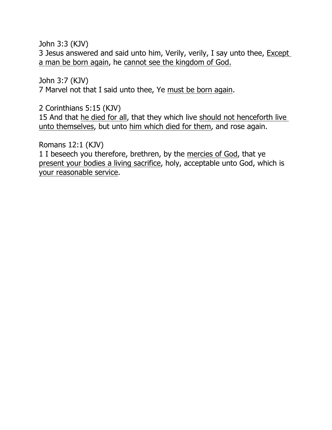John 3:3 (KJV)

3 Jesus answered and said unto him, Verily, verily, I say unto thee, Except a man be born again, he cannot see the kingdom of God.

John 3:7 (KJV)

7 Marvel not that I said unto thee, Ye must be born again.

2 Corinthians 5:15 (KJV)

15 And that he died for all, that they which live should not henceforth live unto themselves, but unto him which died for them, and rose again.

Romans 12:1 (KJV)

1 I beseech you therefore, brethren, by the mercies of God, that ye present your bodies a living sacrifice, holy, acceptable unto God, which is your reasonable service.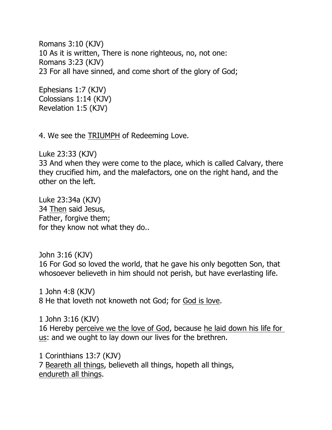Romans 3:10 (KJV) 10 As it is written, There is none righteous, no, not one: Romans 3:23 (KJV) 23 For all have sinned, and come short of the glory of God;

Ephesians 1:7 (KJV) Colossians 1:14 (KJV) Revelation 1:5 (KJV)

4. We see the TRIUMPH of Redeeming Love.

Luke 23:33 (KJV) 33 And when they were come to the place, which is called Calvary, there they crucified him, and the malefactors, one on the right hand, and the other on the left.

Luke 23:34a (KJV) 34 Then said Jesus, Father, forgive them; for they know not what they do..

John 3:16 (KJV) 16 For God so loved the world, that he gave his only begotten Son, that whosoever believeth in him should not perish, but have everlasting life.

1 John 4:8 (KJV) 8 He that loveth not knoweth not God; for God is love.

1 John 3:16 (KJV) 16 Hereby perceive we the love of God, because he laid down his life for us: and we ought to lay down our lives for the brethren.

1 Corinthians 13:7 (KJV) 7 Beareth all things, believeth all things, hopeth all things, endureth all things.